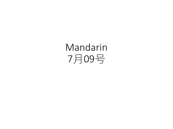Mandarin 7月09号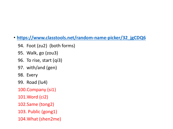- **[https://www.classtools.net/random-name-picker/32\\_jgCDQ6](https://www.classtools.net/random-name-picker/32_jgCDQ6)**
	- 94. Foot (zu2) (both forms)
	- 95. Walk, go (zou3)
	- 96. To rise, start (qi3)
	- 97. with/and (gen)
	- 98. Every
	- 99. Road (lu4)
	- 100.Company (si1)
	- 101.Word (ci2)
	- 102.Same (tong2)
	- 103. Public (gong1)
	- 104.What (shen2me)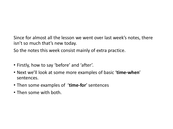Since for almost all the lesson we went over last week's notes, there isn't so much that's new today.

So the notes this week consist mainly of extra practice.

- Firstly, how to say 'before' and 'after'.
- Next we'll look at some more examples of basic '**time-when**' sentences.
- Then some examples of '**time-for**' sentences
- Then some with both.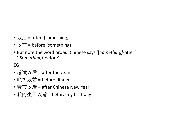- 以后 = after (something)
- 以前 = before (something)
- But note the word order. Chinese says '[*Something]*-after' '[*Something]*-before'

EG

- 考试**以后 =** after the exam
- 晚饭**以前** = before dinner
- 春节**以后** = after Chinese New Year
- 我的生日**以前** = before my birthday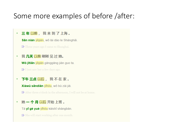### Some more examples of before /after:

#### 三年以前,我来到了上海。  $_{\odot}$

Sān nián yiqián, wǒ lái dào le Shànghǎi.

Three years ago I came to Shanghai.

我几天以前刚刚见过她。  $^{\circ}$ 

Wǒ jitiān yiqián gānggāng jiàn guo ta.

**D** I just saw her a few days ago.

下午三点以后,我不在家。  $\circledcirc$ 

Xiàwǔ sāndiǎn yíhòu, wǒ bù zài jiā.

**D** After three o'clock in the afternoon, I will not be at home.

她 **一 个 月** 以后 开始 上班 。  $^{\circ}$ 

Tā yī gè yuè yihòu kāishi shàngbān.

**D** She will start working after one month.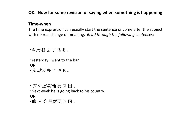### **OK. Now for some revision of saying when something is happening**

#### **Time-when**

The time expression can usually start the sentence or come after the subject with no real change of meaning. *Read through the following sentences:*

•昨天 **我** 去 了 酒吧 。

•Yesterday I went to the bar.

OR

•**我** 昨天 去 了 酒吧 。

•*下 个 星期* 他 要 回 国 。

•Next week he is going back to his country.

OR

•**他** 下 个 星期 要 回 国 。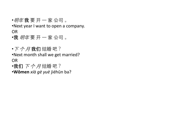•明年 **我** 要 开 一 家 公司 。

•Next year I want to open a company.

OR

•**我** 明年 要 开 一 家 公司 。

•下 个 月 **我们** 结婚 吧 ? •Next month shall we get married? OR

•**我们** 下 个 月 结婚 吧 ?

•**Wǒmen** *xià gè yuè* jiéhūn ba?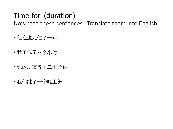# Time-for (duration)

Now read these sentences. Translate them into English

- 他在这儿住了一年
- 我工作了八个小时
- 你的朋友等了二十分钟
- 我们跳了一个晚上舞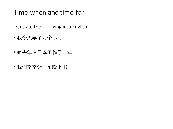### Time-when and time-for

Translate the following into English:

- 我今天学了两个小时
- 她去年在日本工作了十年
- 我们常常读一个晚上书